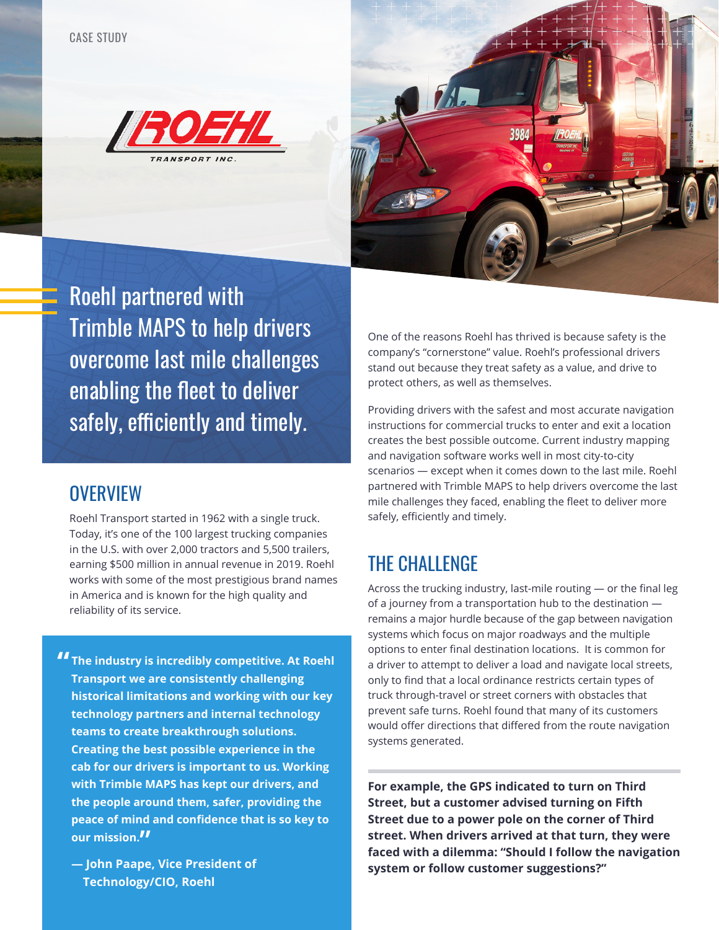



Roehl partnered with Trimble MAPS to help drivers overcome last mile challenges enabling the fleet to deliver safely, efficiently and timely.

#### **OVERVIEW**

Roehl Transport started in 1962 with a single truck. Today, it's one of the 100 largest trucking companies in the U.S. with over 2,000 tractors and 5,500 trailers, earning \$500 million in annual revenue in 2019. Roehl works with some of the most prestigious brand names in America and is known for the high quality and reliability of its service.

**" The industry is incredibly competitive. At Roehl Transport we are consistently challenging historical limitations and working with our key technology partners and internal technology teams to create breakthrough solutions. Creating the best possible experience in the cab for our drivers is important to us. Working with Trimble MAPS has kept our drivers, and the people around them, safer, providing the peace of mind and confidence that is so key to our mission."**

**— John Paape, Vice President of Technology/CIO, Roehl** 

One of the reasons Roehl has thrived is because safety is the company's "cornerstone" value. Roehl's professional drivers stand out because they treat safety as a value, and drive to protect others, as well as themselves.

Providing drivers with the safest and most accurate navigation instructions for commercial trucks to enter and exit a location creates the best possible outcome. Current industry mapping and navigation software works well in most city-to-city scenarios — except when it comes down to the last mile. Roehl partnered with Trimble MAPS to help drivers overcome the last mile challenges they faced, enabling the fleet to deliver more safely, efficiently and timely.

#### THE CHALLENGE

Across the trucking industry, last-mile routing — or the final leg of a journey from a transportation hub to the destination remains a major hurdle because of the gap between navigation systems which focus on major roadways and the multiple options to enter final destination locations. It is common for a driver to attempt to deliver a load and navigate local streets, only to find that a local ordinance restricts certain types of truck through-travel or street corners with obstacles that prevent safe turns. Roehl found that many of its customers would offer directions that differed from the route navigation systems generated.

**For example, the GPS indicated to turn on Third Street, but a customer advised turning on Fifth Street due to a power pole on the corner of Third street. When drivers arrived at that turn, they were faced with a dilemma: "Should I follow the navigation system or follow customer suggestions?"**